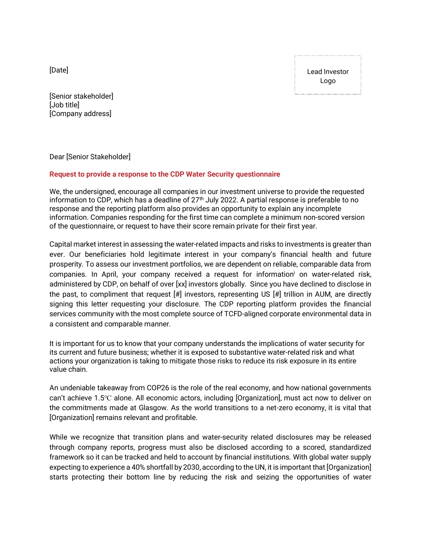[Date]

Lead Investor Logo

[Senior stakeholder] [Job title] [Company address]

Dear [Senior Stakeholder]

## **Request to provide a response to the CDP Water Security questionnaire**

We, the undersigned, encourage all companies in our investment universe to provide the requested information to CDP, which has a deadline of  $27<sup>th</sup>$  July 2022. A partial response is preferable to no response and the reporting platform also provides an opportunity to explain any incomplete information. Companies responding for the first time can complete a minimum non-scored version of the questionnaire, or request to have their score remain private for their first year.

Capital market interest in assessing the water-related impacts and risks to investments is greater than ever. Our beneficiaries hold legitimate interest in your company's financial health and future prosperity. To assess our investment portfolios, we are dependent on reliable, comparable data from companies. In April, your company received a request for information <sup>i</sup> on water-related risk, administered by CDP, on behalf of over [xx] investors globally. Since you have declined to disclose in the past, to compliment that request [#] investors, representing US [#] trillion in AUM, are directly signing this letter requesting your disclosure. The CDP reporting platform provides the financial services community with the most complete source of TCFD-aligned corporate environmental data in a consistent and comparable manner.

It is important for us to know that your company understands the implications of water security for its current and future business; whether it is exposed to substantive water-related risk and what actions your organization is taking to mitigate those risks to reduce its risk exposure in its entire value chain.

An undeniable takeaway from COP26 is the role of the real economy, and how national governments can't achieve 1.5℃ alone. All economic actors, including [Organization], must act now to deliver on the commitments made at Glasgow. As the world transitions to a net-zero economy, it is vital that [Organization] remains relevant and profitable.

While we recognize that transition plans and water-security related disclosures may be released through company reports, progress must also be disclosed according to a scored, standardized framework so it can be tracked and held to account by financial institutions. With global water supply expecting to experience a 40% shortfall by 2030, according to the UN, it is important that [Organization] starts protecting their bottom line by reducing the risk and seizing the opportunities of water